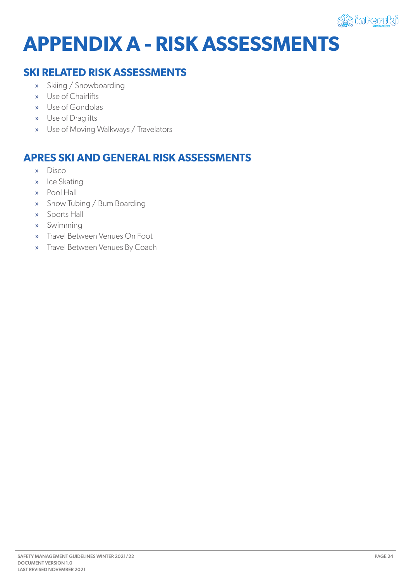

## **APPENDIX A - RISK ASSESSMENTS**

#### **SKI RELATED RISK ASSESSMENTS**

- » Skiing / Snowboarding
- » Use of Chairlifts
- » Use of Gondolas
- » Use of Draglifts
- » Use of Moving Walkways / Travelators

#### **APRES SKI AND GENERAL RISK ASSESSMENTS**

- » Disco
- » Ice Skating
- » Pool Hall
- » Snow Tubing / Bum Boarding
- » Sports Hall
- » Swimming
- » Travel Between Venues On Foot
- » Travel Between Venues By Coach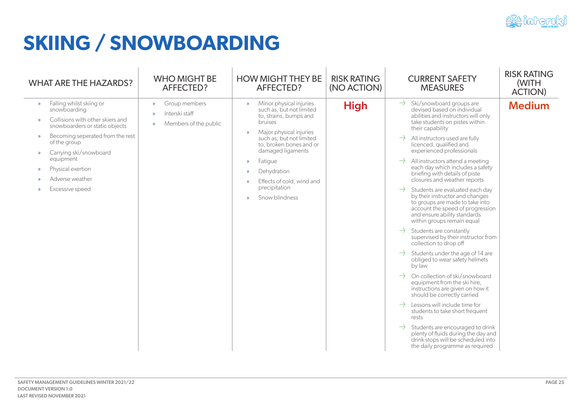

# **SKIING / SNOWBOARDING**

| <b>WHAT ARE THE HAZARDS?</b>                                                                                                                                                                                                                                                                                                                             | <b>WHO MIGHT BE</b><br>AFFECTED?                                                                            | <b>HOW MIGHT THEY BE</b><br><b>AFFECTED?</b>                                                                                                                                                                                                                                                                                                                                                           | <b>RISK RATING</b><br>(NO ACTION) | <b>CURRENT SAFETY</b><br><b>MEASURES</b>                                                                                                                                                                                                                                                                                                                                                                                                                                                                                                                                                                                                                                                                                                                                                                                                                                                                                                                                                                                                                                                                                                                                                                                    | <b>RISK RATING</b><br>(WITH<br><b>ACTION)</b> |
|----------------------------------------------------------------------------------------------------------------------------------------------------------------------------------------------------------------------------------------------------------------------------------------------------------------------------------------------------------|-------------------------------------------------------------------------------------------------------------|--------------------------------------------------------------------------------------------------------------------------------------------------------------------------------------------------------------------------------------------------------------------------------------------------------------------------------------------------------------------------------------------------------|-----------------------------------|-----------------------------------------------------------------------------------------------------------------------------------------------------------------------------------------------------------------------------------------------------------------------------------------------------------------------------------------------------------------------------------------------------------------------------------------------------------------------------------------------------------------------------------------------------------------------------------------------------------------------------------------------------------------------------------------------------------------------------------------------------------------------------------------------------------------------------------------------------------------------------------------------------------------------------------------------------------------------------------------------------------------------------------------------------------------------------------------------------------------------------------------------------------------------------------------------------------------------------|-----------------------------------------------|
| Falling whilst skiing or<br>$\mathcal{D}$<br>snowboarding<br>Collisions with other skiers and<br>$\mathbf{v}$<br>snowboarders or static objects<br>Becoming seperated from the rest<br>$\mathcal{D}$<br>of the group<br>Carrying ski/snowboard<br>$\mathcal{D}$<br>equipment<br>Physical exertion<br>$\rightarrow$<br>Adverse weather<br>Excessive speed | Group members<br>$\mathcal{D}$<br>Interski staff<br>$\rightarrow$<br>Members of the public<br>$\mathcal{D}$ | Minor physical injuries<br>$\rightarrow$<br>such as, but not limited<br>to, strains, bumps and<br><b>bruises</b><br>Major physical injuries<br>$\rightarrow$<br>such as, but not limited<br>to, broken bones and or<br>damaged ligaments<br>Fatigue<br>$\mathcal{Y}$<br>Dehydration<br>$\rightarrow$<br>Effects of cold, wind and<br>$\rightarrow$<br>precipitation<br>Snow blindness<br>$\rightarrow$ | <b>High</b>                       | Ski/snowboard groups are<br>devised based on individual<br>abilities and instructors will only<br>take students on pistes within<br>their capability<br>$\rightarrow$ All instructors used are fully<br>licenced, qualified and<br>experienced professionals<br>$\rightarrow$ All instructors attend a meeting<br>each day which includes a safety<br>briefing with details of piste<br>closures and weather reports<br>Students are evaluated each day<br>by their instructor and changes<br>to groups are made to take into<br>account the speed of progression<br>and ensure ability standards<br>within groups remain equal<br>$\rightarrow$ Students are constantly<br>supervised by their instructor from<br>collection to drop off<br>Students under the age of 14 are<br>obliged to wear safety helmets<br>by law<br>$\rightarrow$ On collection of ski/snowboard<br>equipment from the ski hire,<br>instructions are given on how it<br>should be correctly carried<br>$\rightarrow$ Lessons will include time for<br>students to take short frequent<br>rests<br>Students are encouraged to drink<br>plenty of fluids during the day and<br>drink stops will be scheduled into<br>the daily programme as required | <b>Medium</b>                                 |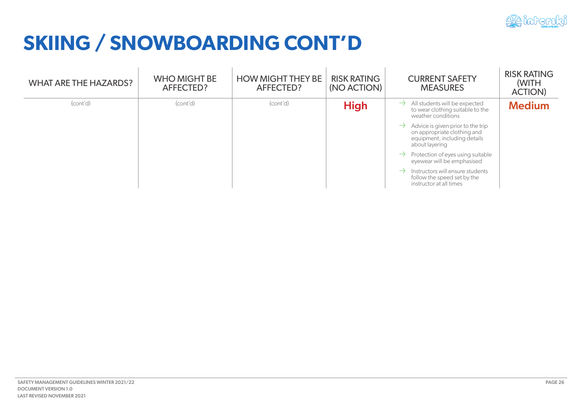

## **SKIING / SNOWBOARDING CONT'D**

| <b>WHAT ARE THE HAZARDS?</b> | <b>WHO MIGHT BE</b><br>AFFECTED? | <b>HOW MIGHT THEY BE</b><br>AFFECTED? | <b>RISK RATING</b><br>(NO ACTION) | <b>CURRENT SAFETY</b><br><b>MEASURES</b>                                                                           | <b>RISK RATING</b><br>(WITH<br><b>ACTION)</b> |
|------------------------------|----------------------------------|---------------------------------------|-----------------------------------|--------------------------------------------------------------------------------------------------------------------|-----------------------------------------------|
| (cont'd)                     | (cont'd)                         | (cont'd)                              | <b>High</b>                       | All students will be expected<br>to wear clothing suitable to the<br>weather conditions                            | <b>Medium</b>                                 |
|                              |                                  |                                       |                                   | Advice is given prior to the trip<br>on appropriate clothing and<br>equipment, including details<br>about layering |                                               |
|                              |                                  |                                       |                                   | ••• Protection of eyes using suitable<br>eyewear will be emphasised                                                |                                               |
|                              |                                  |                                       |                                   | histructors will ensure students<br>follow the speed set by the<br>instructor at all times                         |                                               |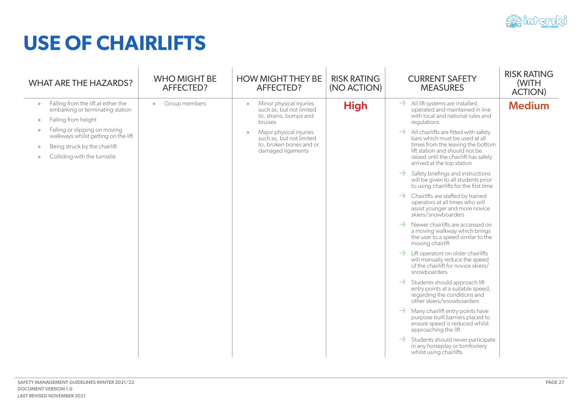

## **USE OF CHAIRLIFTS**

| <b>WHAT ARE THE HAZARDS?</b>                                                                                                                                                             | <b>WHO MIGHT BE</b><br><b>AFFECTED?</b> | <b>HOW MIGHT THEY BE</b><br>AFFECTED?                                                                                | <b>RISK RATING</b><br>(NO ACTION) | <b>CURRENT SAFETY</b><br><b>MEASURES</b>                                                                                                                                                                                                                                                                                                                                                                                                                                                                                                                                                                                                                                                                                                                                                                                                                                                                                                                                                                                                                                                           | <b>RISK RATING</b><br>(WITH<br><b>ACTION)</b> |
|------------------------------------------------------------------------------------------------------------------------------------------------------------------------------------------|-----------------------------------------|----------------------------------------------------------------------------------------------------------------------|-----------------------------------|----------------------------------------------------------------------------------------------------------------------------------------------------------------------------------------------------------------------------------------------------------------------------------------------------------------------------------------------------------------------------------------------------------------------------------------------------------------------------------------------------------------------------------------------------------------------------------------------------------------------------------------------------------------------------------------------------------------------------------------------------------------------------------------------------------------------------------------------------------------------------------------------------------------------------------------------------------------------------------------------------------------------------------------------------------------------------------------------------|-----------------------------------------------|
| Falling from the lift at either the<br>$\mathcal{D}$<br>embarking or terminating station<br>Falling from height<br>$\mathcal{D}$                                                         | Group members<br>$\mathcal{V}$          | Minor physical injuries<br>$\mathcal{D}$<br>such as, but not limited<br>to, strains, bumps and<br>bruises            | <b>High</b>                       | All lift systems are installed,<br>operated and maintained in line<br>with local and national rules and<br>regulations                                                                                                                                                                                                                                                                                                                                                                                                                                                                                                                                                                                                                                                                                                                                                                                                                                                                                                                                                                             | <b>Medium</b>                                 |
| Falling or slipping on moving<br>$\mathcal{D}$<br>walkways whilst getting on the lift<br>Being struck by the chairlift<br>$\mathcal{D}$<br>Colliding with the turnstile<br>$\mathcal{P}$ |                                         | Major physical injuries<br>$\mathcal{D}$<br>such as, but not limited<br>to, broken bones and or<br>damaged ligaments |                                   | All chairlifts are fitted with safety<br>bars which must be used at all<br>times from the leaving the bottom<br>lift station and should not be<br>raised until the chairlift has safely<br>arrived at the top station<br>Safety briefings and instructions<br>will be given to all students prior<br>to using chairlifts for the first time<br>•• Chairlifts are staffed by trained<br>operators at all times who will<br>assist younger and more novice<br>skiers/snowboarders<br>•• Newer chairlifts are accessed on<br>a moving walkway which brings<br>the user to a speed similar to the<br>moving chairlift<br>-> Lift operators on older chairlifts<br>will manually reduce the speed<br>of the chairlift for novice skiers/<br>snowboarders<br>Students should approach lift<br>entry points at a suitable speed,<br>regarding the conditions and<br>other skiers/snowboarders<br>•• Many chairlift entry points have<br>purpose built barriers placed to<br>ensure speed is reduced whilst<br>approaching the lift<br>Students should never participate<br>in any horseplay or tomfoolery |                                               |
|                                                                                                                                                                                          |                                         |                                                                                                                      |                                   | whilst using chairlifts                                                                                                                                                                                                                                                                                                                                                                                                                                                                                                                                                                                                                                                                                                                                                                                                                                                                                                                                                                                                                                                                            |                                               |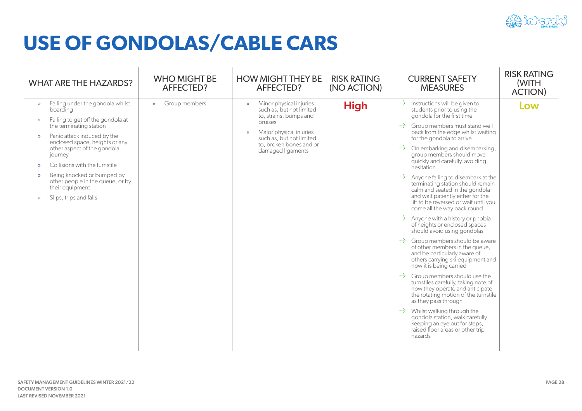

## **USE OF GONDOLAS/CABLE CARS**

| <b>WHAT ARE THE HAZARDS?</b>                                                                                                                                                                                                                                                                                                                                                                                                                                                | <b>WHO MIGHT BE</b><br>AFFECTED? | <b>HOW MIGHT THEY BE</b><br>AFFECTED?                                                                                                                                                                                                    | <b>RISK RATING</b><br>(NO ACTION) | <b>CURRENT SAFETY</b><br><b>MEASURES</b>                                                                                                                                                                                                                                                                                                                                                                                                                                                                                                                                                                                                                                                                                                                                                                                                                                                                                                                                                                                                                                                                                                                                 | <b>RISK RATING</b><br>(WITH<br><b>ACTION)</b> |
|-----------------------------------------------------------------------------------------------------------------------------------------------------------------------------------------------------------------------------------------------------------------------------------------------------------------------------------------------------------------------------------------------------------------------------------------------------------------------------|----------------------------------|------------------------------------------------------------------------------------------------------------------------------------------------------------------------------------------------------------------------------------------|-----------------------------------|--------------------------------------------------------------------------------------------------------------------------------------------------------------------------------------------------------------------------------------------------------------------------------------------------------------------------------------------------------------------------------------------------------------------------------------------------------------------------------------------------------------------------------------------------------------------------------------------------------------------------------------------------------------------------------------------------------------------------------------------------------------------------------------------------------------------------------------------------------------------------------------------------------------------------------------------------------------------------------------------------------------------------------------------------------------------------------------------------------------------------------------------------------------------------|-----------------------------------------------|
| Falling under the gondola whilst<br>$\mathcal{D}$<br>boarding<br>Failing to get off the gondola at<br>$\mathcal{D}$<br>the terminating station<br>Panic attack induced by the<br>$\mathcal{D}$<br>enclosed space, heights or any<br>other aspect of the gondola<br>journey<br>Collisions with the turnstile<br>$\mathbf{v}$<br>Being knocked or bumped by<br>$\mathbf{v}$<br>other people in the queue, or by<br>their equipment<br>Slips, trips and falls<br>$\mathcal{D}$ | Group members<br>$\mathcal{D}$   | Minor physical injuries<br>$\mathcal{D}$<br>such as, but not limited<br>to, strains, bumps and<br><b>bruises</b><br>Major physical injuries<br>$\mathcal{D}$<br>such as, but not limited<br>to, broken bones and or<br>damaged ligaments | <b>High</b>                       | •• Instructions will be given to<br>students prior to using the<br>gondola for the first time<br>•• Group members must stand well<br>back from the edge whilst waiting<br>for the gondola to arrive<br>•• On embarking and disembarking,<br>group members should move<br>quickly and carefully, avoiding<br>hesitation<br>Anyone failing to disembark at the<br>terminating station should remain<br>calm and seated in the gondola<br>and wait patiently either for the<br>lift to be reversed or wait until you<br>come all the way back round<br>$\rightarrow$ Anyone with a history or phobia<br>of heights or enclosed spaces<br>should avoid using gondolas<br>••• Group members should be aware<br>of other members in the queue,<br>and be particularly aware of<br>others carrying ski equipment and<br>how it is being carried<br>Sroup members should use the<br>turnstiles carefully, taking note of<br>how they operate and anticipate<br>the rotating motion of the turnstile<br>as they pass through<br>••• Whilst walking through the<br>gondola station, walk carefully<br>keeping an eye out for steps,<br>raised floor areas or other trip<br>hazards | Low                                           |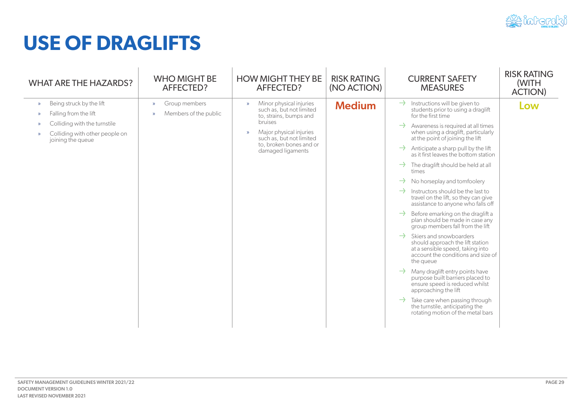

## **USE OF DRAGLIFTS**

| <b>WHAT ARE THE HAZARDS?</b>                                                                                                                                                                         | <b>WHO MIGHT BE</b><br>AFFECTED?                                 | <b>HOW MIGHT THEY BE</b><br>AFFECTED?                                                                                                                                                                                             | <b>RISK RATING</b><br>(NO ACTION) | <b>CURRENT SAFETY</b><br><b>MEASURES</b>                                                                                                                                                                                                                                                                                                                                                                                                                                                                                                                                                                                                                                                                                                                                                                                                                                                                                                                                                                                                                                                      | <b>RISK RATING</b><br>(WITH<br><b>ACTION)</b> |
|------------------------------------------------------------------------------------------------------------------------------------------------------------------------------------------------------|------------------------------------------------------------------|-----------------------------------------------------------------------------------------------------------------------------------------------------------------------------------------------------------------------------------|-----------------------------------|-----------------------------------------------------------------------------------------------------------------------------------------------------------------------------------------------------------------------------------------------------------------------------------------------------------------------------------------------------------------------------------------------------------------------------------------------------------------------------------------------------------------------------------------------------------------------------------------------------------------------------------------------------------------------------------------------------------------------------------------------------------------------------------------------------------------------------------------------------------------------------------------------------------------------------------------------------------------------------------------------------------------------------------------------------------------------------------------------|-----------------------------------------------|
| Being struck by the lift<br>$\gg$<br>Falling from the lift<br>$\mathcal{D}$<br>Colliding with the turnstile<br>$\mathcal{D}$<br>Colliding with other people on<br>$\mathcal{D}$<br>joining the queue | Group members<br>$\gg$<br>Members of the public<br>$\mathcal{D}$ | Minor physical injuries<br>$\mathcal{V}$<br>such as, but not limited<br>to, strains, bumps and<br>bruises<br>Major physical injuries<br>$\mathcal{D}$<br>such as, but not limited<br>to, broken bones and or<br>damaged ligaments | <b>Medium</b>                     | $\rightarrow$ Instructions will be given to<br>students prior to using a draglift<br>for the first time<br>Awareness is required at all times<br>when using a draglift, particularly<br>at the point of joining the lift<br>Anticipate a sharp pull by the lift<br>as it first leaves the bottom station<br>••• The draglift should be held at all<br>times<br>No horseplay and tomfoolery<br>$\rightarrow$<br>$\rightarrow$ Instructors should be the last to<br>travel on the lift, so they can give<br>assistance to anyone who falls off<br>$\Rightarrow$ Before emarking on the draglift a<br>plan should be made in case any<br>group members fall from the lift<br>$\rightarrow$ Skiers and snowboarders<br>should approach the lift station<br>at a sensible speed, taking into<br>account the conditions and size of<br>the queue<br>••• Many draglift entry points have<br>purpose built barriers placed to<br>ensure speed is reduced whilst<br>approaching the lift<br>••• Take care when passing through<br>the turnstile, anticipating the<br>rotating motion of the metal bars | Low                                           |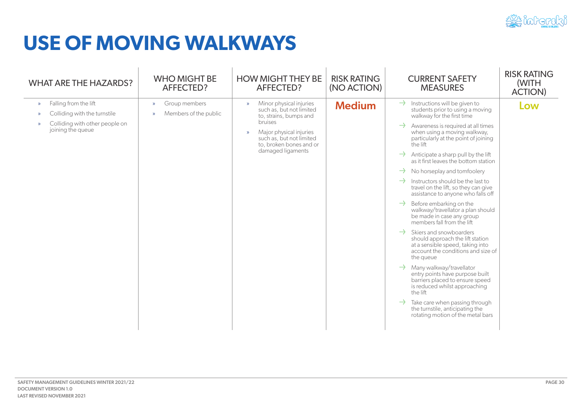

### **USE OF MOVING WALKWAYS**

| <b>WHAT ARE THE HAZARDS?</b>                                                                                                                            | <b>WHO MIGHT BE</b><br>AFFECTED?                                         | <b>HOW MIGHT THEY BE</b><br>AFFECTED?                                                                                                                                                                                             | <b>RISK RATING</b><br>(NO ACTION) | <b>CURRENT SAFETY</b><br><b>MEASURES</b>                                                                                                                                                                                                                                                                                                                                                                                                                                                                                                                                                                                                                                                                                                                                                                                                                                                                                                                                                                                                                                           | <b>RISK RATING</b><br>(WITH<br><b>ACTION)</b> |
|---------------------------------------------------------------------------------------------------------------------------------------------------------|--------------------------------------------------------------------------|-----------------------------------------------------------------------------------------------------------------------------------------------------------------------------------------------------------------------------------|-----------------------------------|------------------------------------------------------------------------------------------------------------------------------------------------------------------------------------------------------------------------------------------------------------------------------------------------------------------------------------------------------------------------------------------------------------------------------------------------------------------------------------------------------------------------------------------------------------------------------------------------------------------------------------------------------------------------------------------------------------------------------------------------------------------------------------------------------------------------------------------------------------------------------------------------------------------------------------------------------------------------------------------------------------------------------------------------------------------------------------|-----------------------------------------------|
| Falling from the lift<br>$\gg$<br>Colliding with the turnstile<br>$\mathcal{D}$<br>Colliding with other people on<br>$\mathcal{P}$<br>joining the queue | Group members<br>$\mathcal{D}$<br>Members of the public<br>$\mathcal{D}$ | Minor physical injuries<br>$\mathcal{V}$<br>such as, but not limited<br>to, strains, bumps and<br>bruises<br>Major physical injuries<br>$\mathcal{V}$<br>such as, but not limited<br>to, broken bones and or<br>damaged ligaments | <b>Medium</b>                     | $\rightarrow$ Instructions will be given to<br>students prior to using a moving<br>walkway for the first time<br>$\Rightarrow$ Awareness is required at all times<br>when using a moving walkway,<br>particularly at the point of joining<br>the lift<br>Anticipate a sharp pull by the lift<br>as it first leaves the bottom station<br>$\rightarrow$ No horseplay and tomfoolery<br>$\rightarrow$ Instructors should be the last to<br>travel on the lift, so they can give<br>assistance to anyone who falls off<br>$\rightarrow$ Before embarking on the<br>walkway/travellator a plan should<br>be made in case any group<br>members fall from the lift<br>Skiers and snowboarders<br>should approach the lift station<br>at a sensible speed, taking into<br>account the conditions and size of<br>the queue<br>-> Many walkway/travellator<br>entry points have purpose built<br>barriers placed to ensure speed<br>is reduced whilst approaching<br>the lift<br>••• Take care when passing through<br>the turnstile, anticipating the<br>rotating motion of the metal bars | Low                                           |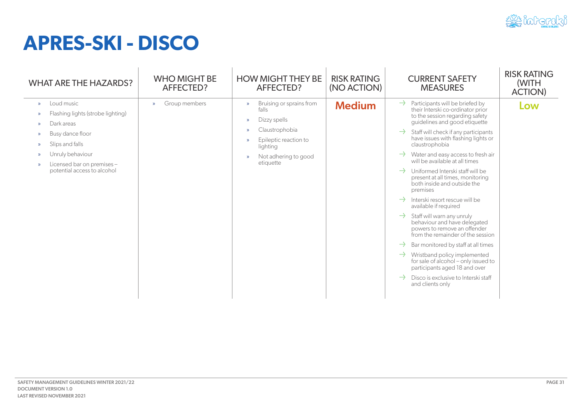

### **APRES-SKI - DISCO**

| <b>WHAT ARE THE HAZARDS?</b>                                                                                                                                                                                                                                                                                 | <b>WHO MIGHT BE</b><br>AFFECTED? | <b>HOW MIGHT THEY BE</b><br>AFFECTED?                                                                                                                                                                                              | <b>RISK RATING</b><br>(NO ACTION) | <b>CURRENT SAFETY</b><br><b>MEASURES</b>                                                                                                                                                                                                                                                                                                                                                                                                                                                                                                                                                                                                                                                                                                                                                                                                                                                                         | <b>RISK RATING</b><br>(WITH<br><b>ACTION)</b> |
|--------------------------------------------------------------------------------------------------------------------------------------------------------------------------------------------------------------------------------------------------------------------------------------------------------------|----------------------------------|------------------------------------------------------------------------------------------------------------------------------------------------------------------------------------------------------------------------------------|-----------------------------------|------------------------------------------------------------------------------------------------------------------------------------------------------------------------------------------------------------------------------------------------------------------------------------------------------------------------------------------------------------------------------------------------------------------------------------------------------------------------------------------------------------------------------------------------------------------------------------------------------------------------------------------------------------------------------------------------------------------------------------------------------------------------------------------------------------------------------------------------------------------------------------------------------------------|-----------------------------------------------|
| Loud music<br>$\mathcal{D}$<br>Flashing lights (strobe lighting)<br>$\rightarrow$<br>Dark areas<br>$\mathcal{D}$<br>Busy dance floor<br>$\mathcal{D}$<br>Slips and falls<br>$\mathcal{D}$<br>Unruly behaviour<br>$\mathcal{D}$<br>Licensed bar on premises -<br>$\rightarrow$<br>potential access to alcohol | Group members<br>$\gg$           | Bruising or sprains from<br>$\mathcal{V}$<br>falls<br>Dizzy spells<br>$\mathcal{D}$<br>Claustrophobia<br>$\mathcal{V}$<br>Epileptic reaction to<br>$\mathcal{D}$<br>lighting<br>Not adhering to good<br>$\mathcal{D}$<br>etiquette | <b>Medium</b>                     | ••• Participants will be briefed by<br>their Interski co-ordinator prior<br>to the session regarding safety<br>guidelines and good etiquette<br>$\rightarrow$ Staff will check if any participants<br>have issues with flashing lights or<br>claustrophobia<br>••• Water and easy access to fresh air<br>will be available at all times<br>→ Uniformed Interski staff will be<br>present at all times, monitoring<br>both inside and outside the<br>premises<br>$\rightarrow$ Interski resort rescue will be<br>available if required<br>Staff will warn any unruly<br>behaviour and have delegated<br>powers to remove an offender<br>from the remainder of the session<br>Bar monitored by staff at all times<br>↔<br>Wristband policy implemented<br>÷÷<br>for sale of alcohol - only issued to<br>participants aged 18 and over<br>Disco is exclusive to Interski staff<br>$\rightarrow$<br>and clients only | Low                                           |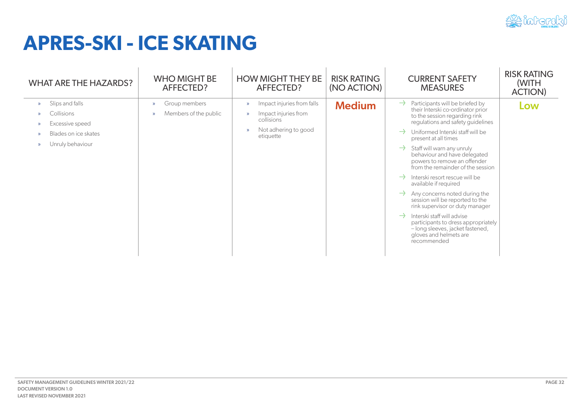

## **APRES-SKI - ICE SKATING**

| <b>WHAT ARE THE HAZARDS?</b>                                                                                                   | <b>WHO MIGHT BE</b><br>AFFECTED?                                         | <b>HOW MIGHT THEY BE</b><br><b>AFFECTED?</b>                                                                                                             | <b>RISK RATING</b><br>(NO ACTION) | <b>CURRENT SAFETY</b><br><b>MEASURES</b>                                                                                                                                                                                                                                                                                                                                                                                                                                                                                                                                                                                                                                                                                     | <b>RISK RATING</b><br>(WITH<br><b>ACTION)</b> |
|--------------------------------------------------------------------------------------------------------------------------------|--------------------------------------------------------------------------|----------------------------------------------------------------------------------------------------------------------------------------------------------|-----------------------------------|------------------------------------------------------------------------------------------------------------------------------------------------------------------------------------------------------------------------------------------------------------------------------------------------------------------------------------------------------------------------------------------------------------------------------------------------------------------------------------------------------------------------------------------------------------------------------------------------------------------------------------------------------------------------------------------------------------------------------|-----------------------------------------------|
| Slips and falls<br>$\mathcal{D}$<br>Collisions<br>Excessive speed<br>Blades on ice skates<br>Unruly behaviour<br>$\mathcal{D}$ | Group members<br>$\rightarrow$<br>Members of the public<br>$\rightarrow$ | Impact injuries from falls<br>$\mathcal{D}$<br>Impact injuries from<br>$\rightarrow$<br>collisions<br>Not adhering to good<br>$\rightarrow$<br>etiquette | <b>Medium</b>                     | ••• Participants will be briefed by<br>their Interski co-ordinator prior<br>to the session regarding rink<br>regulations and safety guidelines<br>Uniformed Interski staff will be<br>ing a<br>present at all times<br>Staff will warn any unruly<br>- 1199<br>behaviour and have delegated<br>powers to remove an offender<br>from the remainder of the session<br>Interski resort rescue will be<br>. на прогласи<br>available if required<br>Any concerns noted during the<br>₩.<br>session will be reported to the<br>rink supervisor or duty manager<br>Interski staff will advise<br>. на прогласи<br>participants to dress appropriately<br>- long sleeves, jacket fastened,<br>gloves and helmets are<br>recommended | Low                                           |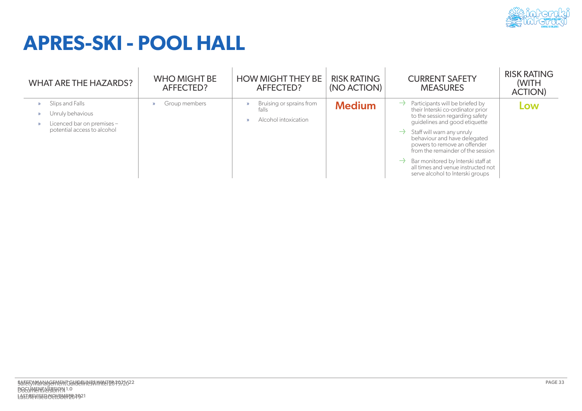

## **APRES-SKI - POOL HALL**

| <b>WHAT ARE THE HAZARDS?</b>                                                                                      | <b>WHO MIGHT BE</b><br>AFFECTED? | <b>HOW MIGHT THEY BE</b><br>AFFECTED?                                      | <b>RISK RATING</b><br>(NO ACTION) | <b>CURRENT SAFETY</b><br><b>MEASURES</b>                                                                                                                                                                                                                                                                                                                                                                          | <b>RISK RATING</b><br>(WITH<br><b>ACTION)</b> |
|-------------------------------------------------------------------------------------------------------------------|----------------------------------|----------------------------------------------------------------------------|-----------------------------------|-------------------------------------------------------------------------------------------------------------------------------------------------------------------------------------------------------------------------------------------------------------------------------------------------------------------------------------------------------------------------------------------------------------------|-----------------------------------------------|
| Slips and Falls<br>Unruly behavious<br>Licenced bar on premises -<br>$\mathcal{D}$<br>potential access to alcohol | Group members<br>$\mathcal{D}$   | Bruising or sprains from<br>$\mathcal{D}$<br>falls<br>Alcohol intoxication | <b>Medium</b>                     | ••• Participants will be briefed by<br>their Interski co-ordinator prior<br>to the session regarding safety<br>guidelines and good etiquette<br>$\rightarrow$ Staff will warn any unruly<br>behaviour and have delegated<br>powers to remove an offender<br>from the remainder of the session<br>••• Bar monitored by Interski staff at<br>all times and venue instructed not<br>serve alcohol to Interski groups | Low                                           |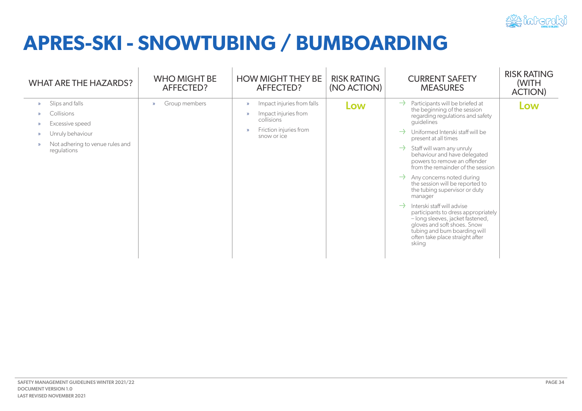

## **APRES-SKI - SNOWTUBING / BUMBOARDING**

| <b>WHAT ARE THE HAZARDS?</b>                                                                                                                                              | <b>WHO MIGHT BE</b><br><b>AFFECTED?</b> | <b>HOW MIGHT THEY BE</b><br>AFFECTED?                                                                                                                        | <b>RISK RATING</b><br>(NO ACTION) | <b>CURRENT SAFETY</b><br><b>MEASURES</b>                                                                                                                                                                                                                                                                                                                                                                                                                                                                                                                                                                                                                                           | <b>RISK RATING</b><br>(WITH<br><b>ACTION)</b> |
|---------------------------------------------------------------------------------------------------------------------------------------------------------------------------|-----------------------------------------|--------------------------------------------------------------------------------------------------------------------------------------------------------------|-----------------------------------|------------------------------------------------------------------------------------------------------------------------------------------------------------------------------------------------------------------------------------------------------------------------------------------------------------------------------------------------------------------------------------------------------------------------------------------------------------------------------------------------------------------------------------------------------------------------------------------------------------------------------------------------------------------------------------|-----------------------------------------------|
| Slips and falls<br>$\mathcal{D}$<br>Collisions<br>Excessive speed<br>Unruly behaviour<br>$\rightarrow$<br>Not adhering to venue rules and<br>$\mathcal{D}$<br>regulations | Group members<br>$\rightarrow$          | Impact injuries from falls<br>$\mathcal{D}$<br>Impact injuries from<br>$\mathcal{D}$<br>collisions<br>Friction injuries from<br>$\mathcal{D}$<br>snow or ice | Low                               | ••• Participants will be briefed at<br>the beginning of the session<br>regarding regulations and safety<br>quidelines<br>Uniformed Interski staff will be<br>mily.<br>present at all times<br>Staff will warn any unruly<br>----}- :<br>behaviour and have delegated<br>powers to remove an offender<br>from the remainder of the session<br>Any concerns noted during<br>the session will be reported to<br>the tubing supervisor or duty<br>manager<br>Interski staff will advise<br>---><br>participants to dress appropriately<br>- long sleeves, jacket fastened,<br>gloves and soft shoes. Snow<br>tubing and bum boarding will<br>often take place straight after<br>skiing | Low                                           |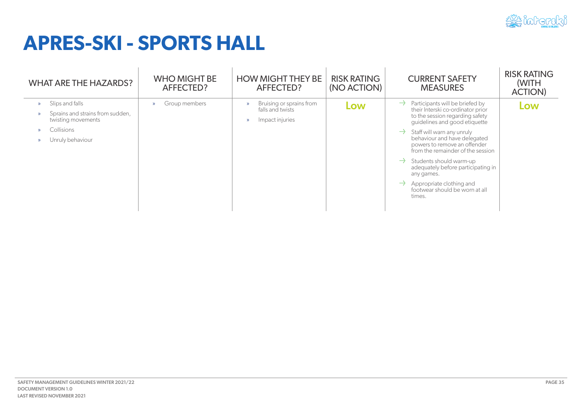

## **APRES-SKI - SPORTS HALL**

| <b>WHAT ARE THE HAZARDS?</b>                                                                                | <b>WHO MIGHT BE</b><br><b>AFFECTED?</b> | <b>HOW MIGHT THEY BE</b><br>AFFECTED?                                                             | <b>RISK RATING</b><br>(NO ACTION) | <b>CURRENT SAFETY</b><br><b>MEASURES</b>                                                                                                                                                                                                                                                                                                                                                                                                                   | <b>RISK RATING</b><br>(WITH<br><b>ACTION)</b> |
|-------------------------------------------------------------------------------------------------------------|-----------------------------------------|---------------------------------------------------------------------------------------------------|-----------------------------------|------------------------------------------------------------------------------------------------------------------------------------------------------------------------------------------------------------------------------------------------------------------------------------------------------------------------------------------------------------------------------------------------------------------------------------------------------------|-----------------------------------------------|
| Slips and falls<br>Sprains and strains from sudden,<br>twisting movements<br>Collisions<br>Unruly behaviour | Group members<br>$\gg$                  | Bruising or sprains from<br>$\mathcal{D}$<br>falls and twists<br>Impact injuries<br>$\mathcal{D}$ | Low                               | ••• Participants will be briefed by<br>their Interski co-ordinator prior<br>to the session regarding safety<br>guidelines and good etiquette<br>→ Staff will warn any unruly<br>behaviour and have delegated<br>powers to remove an offender<br>from the remainder of the session<br>••• Students should warm-up<br>adequately before participating in<br>any games.<br>$\rightarrow$ Appropriate clothing and<br>footwear should be worn at all<br>times. | Low                                           |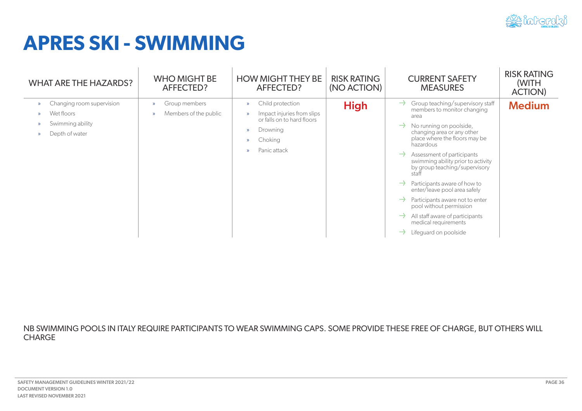

### **APRES SKI - SWIMMING**

| <b>WHAT ARE THE HAZARDS?</b>                                                                                                     | <b>WHO MIGHT BE</b><br>AFFECTED?                                         | <b>HOW MIGHT THEY BE</b><br>AFFECTED?                                                                                                                                                            | <b>RISK RATING</b><br>(NO ACTION) | <b>CURRENT SAFETY</b><br><b>MEASURES</b>                                                                                                                                                                                                                                                                                                                                                                                                                                                                                                                                    | <b>RISK RATING</b><br>(WITH<br><b>ACTION)</b> |
|----------------------------------------------------------------------------------------------------------------------------------|--------------------------------------------------------------------------|--------------------------------------------------------------------------------------------------------------------------------------------------------------------------------------------------|-----------------------------------|-----------------------------------------------------------------------------------------------------------------------------------------------------------------------------------------------------------------------------------------------------------------------------------------------------------------------------------------------------------------------------------------------------------------------------------------------------------------------------------------------------------------------------------------------------------------------------|-----------------------------------------------|
| Changing room supervision<br>$\mathcal{P}$<br>Wet floors<br>Swimming ability<br>$\mathcal{D}$<br>Depth of water<br>$\mathcal{P}$ | Group members<br>$\mathcal{D}$<br>Members of the public<br>$\mathcal{D}$ | Child protection<br>$\mathcal{D}$<br>Impact injuries from slips<br>$\mathcal{D}$<br>or falls on to hard floors<br>Drowning<br>$\mathcal{D}$<br>Choking<br>$\gg$<br>Panic attack<br>$\mathcal{Y}$ | <b>High</b>                       | Group teaching/supervisory staff<br>÷÷<br>members to monitor changing<br>area<br>No running on poolside,<br>⊶≽∵<br>changing area or any other<br>place where the floors may be<br>hazardous<br>Assessment of participants<br>----}-<br>swimming ability prior to activity<br>by group teaching/supervisory<br>staf<br>Participants aware of how to<br><sub>)</sub><br>enter/leave pool area safely<br>Participants aware not to enter<br><sub>.</sub><br>pool without permission<br>All staff aware of participants<br>medical requirements<br>Lifeguard on poolside<br>⊶≽∵ | <b>Medium</b>                                 |

NB SWIMMING POOLS IN ITALY REQUIRE PARTICIPANTS TO WEAR SWIMMING CAPS. SOME PROVIDE THESE FREE OF CHARGE, BUT OTHERS WILL CHARGE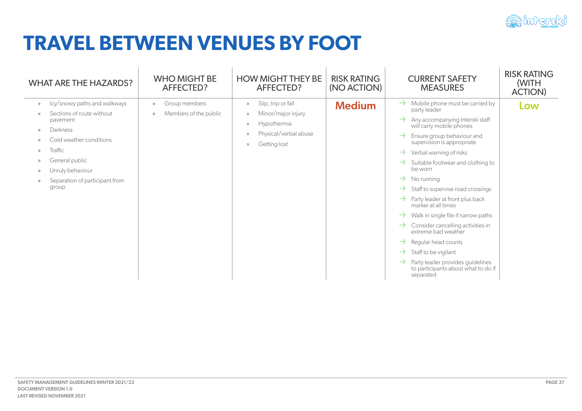

#### **TRAVEL BETWEEN VENUES BY FOOT**

| <b>WHAT ARE THE HAZARDS?</b>                                                                                                                                                        |                                                                                                                        | <b>WHO MIGHT BE</b><br>AFFECTED?                                 | <b>HOW MIGHT THEY BE</b><br>AFFECTED?                                                                                                                         | <b>RISK RATING</b><br>(NO ACTION) | <b>CURRENT SAFETY</b><br><b>MEASURES</b>                                                                                                                                                                                                                                                                                                                                                                                                                                                                                                                                                                                                                                                                                                        | <b>RISK RATING</b><br>(WITH<br><b>ACTION)</b> |
|-------------------------------------------------------------------------------------------------------------------------------------------------------------------------------------|------------------------------------------------------------------------------------------------------------------------|------------------------------------------------------------------|---------------------------------------------------------------------------------------------------------------------------------------------------------------|-----------------------------------|-------------------------------------------------------------------------------------------------------------------------------------------------------------------------------------------------------------------------------------------------------------------------------------------------------------------------------------------------------------------------------------------------------------------------------------------------------------------------------------------------------------------------------------------------------------------------------------------------------------------------------------------------------------------------------------------------------------------------------------------------|-----------------------------------------------|
| $\mathcal{D}$<br>pavement<br>Darkness<br>$\mathcal{P}$<br>Traffic<br>$\mathbf{v}$<br>General public<br>$\mathcal{D}$<br>Unruly behaviour<br>$\mathcal{P}$<br>$\mathcal{P}$<br>group | lcy/snowy paths and walkways<br>Sections of route without<br>Cold weather conditions<br>Separation of participant from | Group members<br>$\gg$<br>Members of the public<br>$\rightarrow$ | Slip, trip or fall<br>$\gg$<br>Minor/major injury<br>$\mathcal{D}$<br>Hypothermia<br>$\gg$<br>Physical/verbal abuse<br>$\gg$<br>Getting lost<br>$\mathcal{D}$ | <b>Medium</b>                     | ••• Mobile phone must be carried by<br>party leader<br>Any accompanying Interski staff<br>$\rightarrow$<br>will carry mobile phones<br>Ensure group behaviour and<br>----}-<br>supervision is appropriate<br>Verbal warning of risks<br>→<br>Suitable footwear and clothing to<br>$\rightarrow$<br>be worn<br>No running<br>→<br>Staff to supervise road crossings<br>$\rightarrow$<br>Party leader at front plus back<br>↔<br>marker at all times<br>Walk in single file if narrow paths<br>$\rightarrow$<br>Consider cancelling activities in<br>↔<br>extreme bad weather<br>Regular head counts<br>₩.<br>Staff to be vigilant<br>₩.<br>Party leader provides guidelines<br>$\rightarrow$<br>to participants about what to do if<br>separated | Low                                           |